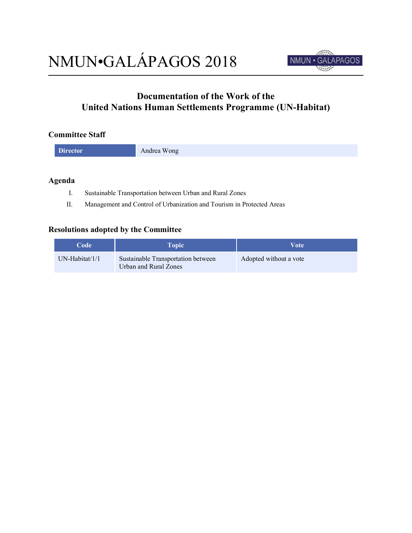

# **Documentation of the Work of the United Nations Human Settlements Programme (UN-Habitat)**

## **Committee Staff**

### **Agenda**

- I. Sustainable Transportation between Urban and Rural Zones
- II. Management and Control of Urbanization and Tourism in Protected Areas

### **Resolutions adopted by the Committee**

| <b>Code</b>    | <b>Topic</b>                                                | Vote                   |
|----------------|-------------------------------------------------------------|------------------------|
| UN-Habitat/1/1 | Sustainable Transportation between<br>Urban and Rural Zones | Adopted without a vote |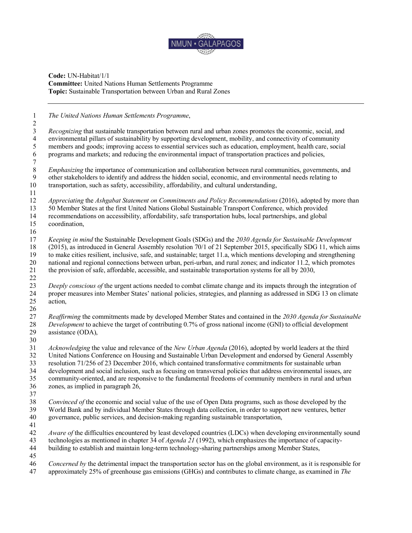

#### **Code:** UN-Habitat/1/1 **Committee:** United Nations Human Settlements Programme **Topic:** Sustainable Transportation between Urban and Rural Zones

 *The United Nations Human Settlements Programme*, *Recognizing* that sustainable transportation between rural and urban zones promotes the economic, social, and environmental pillars of sustainability by supporting development, mobility, and connectivity of community members and goods; improving access to essential services such as education, employment, health care, social programs and markets; and reducing the environmental impact of transportation practices and policies, *Emphasizing* the importance of communication and collaboration between rural communities, governments, and other stakeholders to identify and address the hidden social, economic, and environmental needs relating to other stakeholders to identify and address the hidden social, economic, and environmental needs relating to transportation, such as safety, accessibility, affordability, and cultural understanding, *Appreciating* the *Ashgabat Statement on Commitments and Policy Recommendations* (2016), adopted by more than 50 Member States at the first United Nations Global Sustainable Transport Conference, which provided recommendations on accessibility, affordability, safe transportation hubs, local partnerships, and global coordination, *Keeping in mind* the Sustainable Development Goals (SDGs) and the *2030 Agenda for Sustainable Development* (2015), as introduced in General Assembly resolution 70/1 of 21 September 2015, specifically SDG 11, which aims 19 to make cities resilient, inclusive, safe, and sustainable; target 11.a, which mentions developing and strengthening<br>20 national and regional connections between urban, peri-urban, and rural zones; and indicator 11.2, w national and regional connections between urban, peri-urban, and rural zones; and indicator 11.2, which promotes the provision of safe, affordable, accessible, and sustainable transportation systems for all by 2030, *Deeply conscious of* the urgent actions needed to combat climate change and its impacts through the integration of proper measures into Member States' national policies, strategies, and planning as addressed in SDG 13 on climate action, *Reaffirming* the commitments made by developed Member States and contained in the *2030 Agenda for Sustainable Development* to achieve the target of contributing 0.7% of gross national income (GNI) to official development assistance (ODA), *Acknowledging* the value and relevance of the *New Urban Agenda* (2016), adopted by world leaders at the third United Nations Conference on Housing and Sustainable Urban Development and endorsed by General Assembly resolution 71/256 of 23 December 2016, which contained transformative commitments for sustainable urban development and social inclusion, such as focusing on transversal policies that address environmental issues, are community-oriented, and are responsive to the fundamental freedoms of community members in rural and urban zones, as implied in paragraph 26, *Convinced of* the economic and social value of the use of Open Data programs, such as those developed by the World Bank and by individual Member States through data collection, in order to support new ventures, better governance, public services, and decision-making regarding sustainable transportation, *Aware of* the difficulties encountered by least developed countries (LDCs) when developing environmentally sound technologies as mentioned in chapter 34 of *Agenda 21* (1992), which emphasizes the importance of capacity- building to establish and maintain long-term technology-sharing partnerships among Member States, *Concerned by* the detrimental impact the transportation sector has on the global environment, as it is responsible for approximately 25% of greenhouse gas emissions (GHGs) and contributes to climate change, as examined in *The*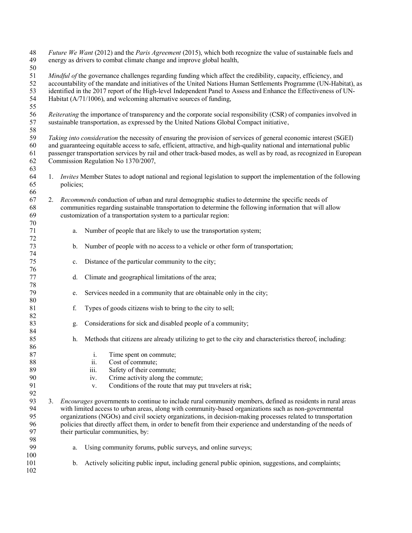| 48<br>49<br>50                   |                                                                                                                                                                                                                                                                                                                                                                                                          | Future We Want (2012) and the Paris Agreement (2015), which both recognize the value of sustainable fuels and<br>energy as drivers to combat climate change and improve global health,                                                                                                                                                                                                                                       |                                                                                                                                                                                                                                                                                                                                                                                                                                                               |  |  |
|----------------------------------|----------------------------------------------------------------------------------------------------------------------------------------------------------------------------------------------------------------------------------------------------------------------------------------------------------------------------------------------------------------------------------------------------------|------------------------------------------------------------------------------------------------------------------------------------------------------------------------------------------------------------------------------------------------------------------------------------------------------------------------------------------------------------------------------------------------------------------------------|---------------------------------------------------------------------------------------------------------------------------------------------------------------------------------------------------------------------------------------------------------------------------------------------------------------------------------------------------------------------------------------------------------------------------------------------------------------|--|--|
| 51<br>52<br>53<br>54<br>55       |                                                                                                                                                                                                                                                                                                                                                                                                          | Mindful of the governance challenges regarding funding which affect the credibility, capacity, efficiency, and<br>accountability of the mandate and initiatives of the United Nations Human Settlements Programme (UN-Habitat), as<br>identified in the 2017 report of the High-level Independent Panel to Assess and Enhance the Effectiveness of UN-<br>Habitat (A/71/1006), and welcoming alternative sources of funding, |                                                                                                                                                                                                                                                                                                                                                                                                                                                               |  |  |
| 56<br>57<br>58                   |                                                                                                                                                                                                                                                                                                                                                                                                          | Reiterating the importance of transparency and the corporate social responsibility (CSR) of companies involved in<br>sustainable transportation, as expressed by the United Nations Global Compact initiative,                                                                                                                                                                                                               |                                                                                                                                                                                                                                                                                                                                                                                                                                                               |  |  |
| 59<br>60<br>61<br>62<br>63       | Taking into consideration the necessity of ensuring the provision of services of general economic interest (SGEI)<br>and guaranteeing equitable access to safe, efficient, attractive, and high-quality national and international public<br>passenger transportation services by rail and other track-based modes, as well as by road, as recognized in European<br>Commission Regulation No 1370/2007, |                                                                                                                                                                                                                                                                                                                                                                                                                              |                                                                                                                                                                                                                                                                                                                                                                                                                                                               |  |  |
| 64<br>65<br>66                   |                                                                                                                                                                                                                                                                                                                                                                                                          | policies;                                                                                                                                                                                                                                                                                                                                                                                                                    | 1. <i>Invites</i> Member States to adopt national and regional legislation to support the implementation of the following                                                                                                                                                                                                                                                                                                                                     |  |  |
| 67<br>68<br>69<br>70             | 2.                                                                                                                                                                                                                                                                                                                                                                                                       |                                                                                                                                                                                                                                                                                                                                                                                                                              | Recommends conduction of urban and rural demographic studies to determine the specific needs of<br>communities regarding sustainable transportation to determine the following information that will allow<br>customization of a transportation system to a particular region:                                                                                                                                                                                |  |  |
| 71<br>72                         |                                                                                                                                                                                                                                                                                                                                                                                                          | a.                                                                                                                                                                                                                                                                                                                                                                                                                           | Number of people that are likely to use the transportation system;                                                                                                                                                                                                                                                                                                                                                                                            |  |  |
| 73<br>74                         |                                                                                                                                                                                                                                                                                                                                                                                                          | b.                                                                                                                                                                                                                                                                                                                                                                                                                           | Number of people with no access to a vehicle or other form of transportation;                                                                                                                                                                                                                                                                                                                                                                                 |  |  |
| 75<br>76                         |                                                                                                                                                                                                                                                                                                                                                                                                          | $\mathbf{c}.$                                                                                                                                                                                                                                                                                                                                                                                                                | Distance of the particular community to the city;                                                                                                                                                                                                                                                                                                                                                                                                             |  |  |
| 77<br>78                         |                                                                                                                                                                                                                                                                                                                                                                                                          | d.                                                                                                                                                                                                                                                                                                                                                                                                                           | Climate and geographical limitations of the area;                                                                                                                                                                                                                                                                                                                                                                                                             |  |  |
| 79<br>80                         |                                                                                                                                                                                                                                                                                                                                                                                                          | e.                                                                                                                                                                                                                                                                                                                                                                                                                           | Services needed in a community that are obtainable only in the city;                                                                                                                                                                                                                                                                                                                                                                                          |  |  |
| 81<br>82                         |                                                                                                                                                                                                                                                                                                                                                                                                          | f.                                                                                                                                                                                                                                                                                                                                                                                                                           | Types of goods citizens wish to bring to the city to sell;                                                                                                                                                                                                                                                                                                                                                                                                    |  |  |
| 83<br>84                         |                                                                                                                                                                                                                                                                                                                                                                                                          | g.                                                                                                                                                                                                                                                                                                                                                                                                                           | Considerations for sick and disabled people of a community;                                                                                                                                                                                                                                                                                                                                                                                                   |  |  |
| 85<br>86                         |                                                                                                                                                                                                                                                                                                                                                                                                          | h.                                                                                                                                                                                                                                                                                                                                                                                                                           | Methods that citizens are already utilizing to get to the city and characteristics thereof, including:                                                                                                                                                                                                                                                                                                                                                        |  |  |
| 87<br>88<br>89<br>90<br>91<br>92 |                                                                                                                                                                                                                                                                                                                                                                                                          | $\dot{\mathbf{1}}.$<br>ii.<br>iii.<br>iv.<br>V.                                                                                                                                                                                                                                                                                                                                                                              | Time spent on commute;<br>Cost of commute;<br>Safety of their commute;<br>Crime activity along the commute;<br>Conditions of the route that may put travelers at risk;                                                                                                                                                                                                                                                                                        |  |  |
| 93<br>94<br>95<br>96<br>97       | 3.                                                                                                                                                                                                                                                                                                                                                                                                       | their particular communities, by:                                                                                                                                                                                                                                                                                                                                                                                            | <i>Encourages</i> governments to continue to include rural community members, defined as residents in rural areas<br>with limited access to urban areas, along with community-based organizations such as non-governmental<br>organizations (NGOs) and civil society organizations, in decision-making processes related to transportation<br>policies that directly affect them, in order to benefit from their experience and understanding of the needs of |  |  |
| 98<br>99                         |                                                                                                                                                                                                                                                                                                                                                                                                          | a.                                                                                                                                                                                                                                                                                                                                                                                                                           | Using community forums, public surveys, and online surveys;                                                                                                                                                                                                                                                                                                                                                                                                   |  |  |
| 100<br>101<br>102                |                                                                                                                                                                                                                                                                                                                                                                                                          | b.                                                                                                                                                                                                                                                                                                                                                                                                                           | Actively soliciting public input, including general public opinion, suggestions, and complaints;                                                                                                                                                                                                                                                                                                                                                              |  |  |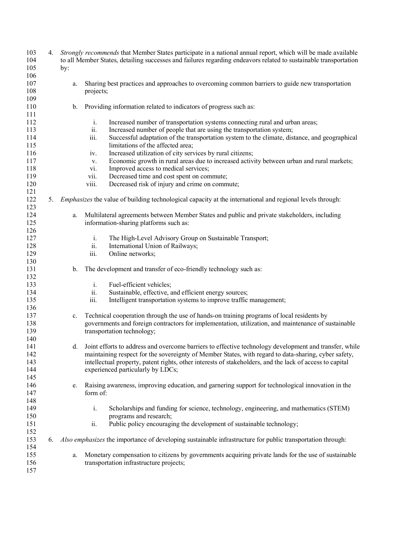| 103 | 4. |             | Strongly recommends that Member States participate in a national annual report, which will be made available     |
|-----|----|-------------|------------------------------------------------------------------------------------------------------------------|
| 104 |    |             | to all Member States, detailing successes and failures regarding endeavors related to sustainable transportation |
| 105 |    | by:         |                                                                                                                  |
| 106 |    |             |                                                                                                                  |
| 107 |    | a.          | Sharing best practices and approaches to overcoming common barriers to guide new transportation                  |
| 108 |    |             | projects;                                                                                                        |
| 109 |    |             |                                                                                                                  |
| 110 |    | b.          | Providing information related to indicators of progress such as:                                                 |
| 111 |    |             |                                                                                                                  |
| 112 |    |             | i.<br>Increased number of transportation systems connecting rural and urban areas;                               |
| 113 |    |             | ii.<br>Increased number of people that are using the transportation system;                                      |
| 114 |    |             | iii.<br>Successful adaptation of the transportation system to the climate, distance, and geographical            |
| 115 |    |             | limitations of the affected area;                                                                                |
| 116 |    |             | Increased utilization of city services by rural citizens;<br>iv.                                                 |
| 117 |    |             | Economic growth in rural areas due to increased activity between urban and rural markets;                        |
|     |    |             | V.                                                                                                               |
| 118 |    |             | Improved access to medical services;<br>vi.                                                                      |
| 119 |    |             | vii.<br>Decreased time and cost spent on commute;                                                                |
| 120 |    |             | Decreased risk of injury and crime on commute;<br>viii.                                                          |
| 121 |    |             |                                                                                                                  |
| 122 | 5. |             | <i>Emphasizes</i> the value of building technological capacity at the international and regional levels through: |
| 123 |    |             |                                                                                                                  |
| 124 |    | a.          | Multilateral agreements between Member States and public and private stakeholders, including                     |
| 125 |    |             | information-sharing platforms such as:                                                                           |
| 126 |    |             |                                                                                                                  |
| 127 |    |             | $\mathbf{i}$ .<br>The High-Level Advisory Group on Sustainable Transport;                                        |
| 128 |    |             | ii.<br>International Union of Railways;                                                                          |
| 129 |    |             | iii.<br>Online networks;                                                                                         |
| 130 |    |             |                                                                                                                  |
| 131 |    | $b_{\cdot}$ | The development and transfer of eco-friendly technology such as:                                                 |
| 132 |    |             |                                                                                                                  |
| 133 |    |             | $\mathbf{i}$ .<br>Fuel-efficient vehicles;                                                                       |
| 134 |    |             | ii.<br>Sustainable, effective, and efficient energy sources;                                                     |
| 135 |    |             | iii.<br>Intelligent transportation systems to improve traffic management;                                        |
|     |    |             |                                                                                                                  |
| 136 |    |             |                                                                                                                  |
| 137 |    | $c_{\cdot}$ | Technical cooperation through the use of hands-on training programs of local residents by                        |
| 138 |    |             | governments and foreign contractors for implementation, utilization, and maintenance of sustainable              |
| 139 |    |             | transportation technology;                                                                                       |
| 140 |    |             |                                                                                                                  |
| 141 |    | d.          | Joint efforts to address and overcome barriers to effective technology development and transfer, while           |
| 142 |    |             | maintaining respect for the sovereignty of Member States, with regard to data-sharing, cyber safety,             |
| 143 |    |             | intellectual property, patent rights, other interests of stakeholders, and the lack of access to capital         |
| 144 |    |             | experienced particularly by LDCs;                                                                                |
| 145 |    |             |                                                                                                                  |
| 146 |    | e.          | Raising awareness, improving education, and garnering support for technological innovation in the                |
| 147 |    |             | form of:                                                                                                         |
| 148 |    |             |                                                                                                                  |
| 149 |    |             | i.<br>Scholarships and funding for science, technology, engineering, and mathematics (STEM)                      |
| 150 |    |             | programs and research;                                                                                           |
| 151 |    |             | Public policy encouraging the development of sustainable technology;<br>ii.                                      |
| 152 |    |             |                                                                                                                  |
| 153 |    |             | 6. Also emphasizes the importance of developing sustainable infrastructure for public transportation through:    |
| 154 |    |             |                                                                                                                  |
| 155 |    | a.          | Monetary compensation to citizens by governments acquiring private lands for the use of sustainable              |
| 156 |    |             | transportation infrastructure projects;                                                                          |
| 157 |    |             |                                                                                                                  |
|     |    |             |                                                                                                                  |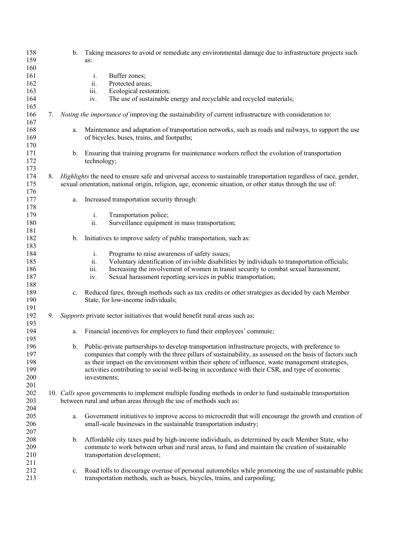| 158 |    | $b_{-}$     | Taking measures to avoid or remediate any environmental damage due to infrastructure projects such                                                                                                |
|-----|----|-------------|---------------------------------------------------------------------------------------------------------------------------------------------------------------------------------------------------|
| 159 |    |             | as:                                                                                                                                                                                               |
| 160 |    |             |                                                                                                                                                                                                   |
| 161 |    |             | Buffer zones;<br>i.                                                                                                                                                                               |
| 162 |    |             | ii.<br>Protected areas;                                                                                                                                                                           |
| 163 |    |             | iii.<br>Ecological restoration;                                                                                                                                                                   |
| 164 |    |             | The use of sustainable energy and recyclable and recycled materials;<br>iv.                                                                                                                       |
| 165 |    |             |                                                                                                                                                                                                   |
| 166 | 7. |             | <i>Noting the importance of</i> improving the sustainability of current infrastructure with consideration to:                                                                                     |
| 167 |    |             |                                                                                                                                                                                                   |
| 168 |    | a.          | Maintenance and adaptation of transportation networks, such as roads and railways, to support the use                                                                                             |
| 169 |    |             | of bicycles, buses, trains, and footpaths;                                                                                                                                                        |
| 170 |    |             |                                                                                                                                                                                                   |
| 171 |    | $b_{-}$     | Ensuring that training programs for maintenance workers reflect the evolution of transportation                                                                                                   |
| 172 |    |             | technology;                                                                                                                                                                                       |
| 173 |    |             |                                                                                                                                                                                                   |
| 174 | 8. |             | Highlights the need to ensure safe and universal access to sustainable transportation regardless of race, gender,                                                                                 |
| 175 |    |             | sexual orientation, national origin, religion, age, economic situation, or other status through the use of:                                                                                       |
| 176 |    |             |                                                                                                                                                                                                   |
| 177 |    | a.          | Increased transportation security through:                                                                                                                                                        |
| 178 |    |             |                                                                                                                                                                                                   |
| 179 |    |             | i.<br>Transportation police;                                                                                                                                                                      |
| 180 |    |             | Surveillance equipment in mass transportation;<br>ii.                                                                                                                                             |
| 181 |    |             |                                                                                                                                                                                                   |
| 182 |    | b.          | Initiatives to improve safety of public transportation, such as:                                                                                                                                  |
| 183 |    |             |                                                                                                                                                                                                   |
| 184 |    |             | $\mathbf{i}$ .<br>Programs to raise awareness of safety issues;                                                                                                                                   |
| 185 |    |             | ii.<br>Voluntary identification of invisible disabilities by individuals to transportation officials;                                                                                             |
| 186 |    |             | iii.<br>Increasing the involvement of women in transit security to combat sexual harassment;                                                                                                      |
| 187 |    |             | Sexual harassment reporting services in public transportation;<br>iv.                                                                                                                             |
| 188 |    |             |                                                                                                                                                                                                   |
| 189 |    | $c_{-}$     | Reduced fares, through methods such as tax credits or other strategies as decided by each Member                                                                                                  |
| 190 |    |             | State, for low-income individuals;                                                                                                                                                                |
| 191 |    |             |                                                                                                                                                                                                   |
| 192 | 9. |             | Supports private sector initiatives that would benefit rural areas such as:                                                                                                                       |
| 193 |    |             |                                                                                                                                                                                                   |
| 194 |    | a.          | Financial incentives for employers to fund their employees' commute;                                                                                                                              |
| 195 |    |             |                                                                                                                                                                                                   |
| 196 |    | $b_{-}$     | Public-private partnerships to develop transportation infrastructure projects, with preference to                                                                                                 |
| 197 |    |             | companies that comply with the three pillars of sustainability, as assessed on the basis of factors such                                                                                          |
| 198 |    |             | as their impact on the environment within their sphere of influence, waste management strategies,                                                                                                 |
| 199 |    |             | activities contributing to social well-being in accordance with their CSR, and type of economic                                                                                                   |
| 200 |    |             | investments;                                                                                                                                                                                      |
| 201 |    |             |                                                                                                                                                                                                   |
| 202 |    |             | 10. Calls upon governments to implement multiple funding methods in order to fund sustainable transportation                                                                                      |
| 203 |    |             | between rural and urban areas through the use of methods such as:                                                                                                                                 |
| 204 |    |             |                                                                                                                                                                                                   |
| 205 |    |             | Government initiatives to improve access to microcredit that will encourage the growth and creation of                                                                                            |
| 206 |    | a.          | small-scale businesses in the sustainable transportation industry;                                                                                                                                |
| 207 |    |             |                                                                                                                                                                                                   |
|     |    |             |                                                                                                                                                                                                   |
| 208 |    | $b_{\cdot}$ | Affordable city taxes paid by high-income individuals, as determined by each Member State, who<br>commute to work between urban and rural areas, to fund and maintain the creation of sustainable |
| 209 |    |             |                                                                                                                                                                                                   |
| 210 |    |             | transportation development;                                                                                                                                                                       |
| 211 |    |             |                                                                                                                                                                                                   |
| 212 |    | $c_{\cdot}$ | Road tolls to discourage overuse of personal automobiles while promoting the use of sustainable public                                                                                            |
| 213 |    |             | transportation methods, such as buses, bicycles, trains, and carpooling;                                                                                                                          |